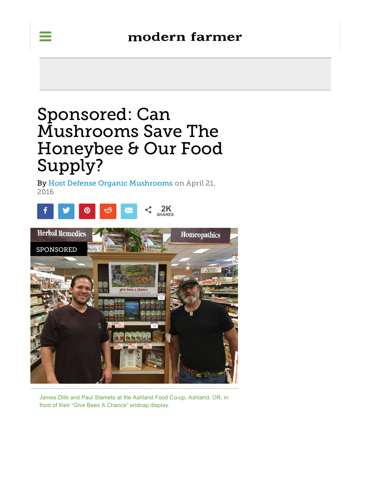# Sponsored: Can Mushrooms Save The Honeybee & Our Food Supply?

By Host Defense Organic Mushrooms on April 21, 2016



James Dills and Paul Stamets at the Ashland Food Co-op, Ashland, OR, in front of their "Give Bees A Chance" endcap display.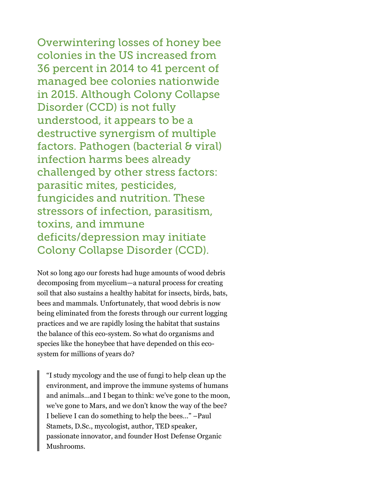Overwintering losses of honey bee colonies in the US increased from 36 percent in 2014 to 41 percent of managed bee colonies nationwide in 2015. Although Colony Collapse Disorder (CCD) is not fully understood, it appears to be a destructive synergism of multiple factors. Pathogen (bacterial & viral) infection harms bees already challenged by other stress factors: parasitic mites, pesticides, fungicides and nutrition. These stressors of infection, parasitism, toxins, and immune deficits/depression may initiate Colony Collapse Disorder (CCD).

Not so long ago our forests had huge amounts of wood debris decomposing from mycelium—a natural process for creating soil that also sustains a healthy habitat for insects, birds, bats, bees and mammals. Unfortunately, that wood debris is now being eliminated from the forests through our current logging practices and we are rapidly losing the habitat that sustains the balance of this eco-system. So what do organisms and species like the honeybee that have depended on this ecosystem for millions of years do?

"I study mycology and the use of fungi to help clean up the environment, and improve the immune systems of humans and animals…and I began to think: we've gone to the moon, we've gone to Mars, and we don't know the way of the bee? I believe I can do something to help the bees…" –Paul Stamets, D.Sc., mycologist, author, TED speaker, passionate innovator, and founder Host Defense Organic Mushrooms.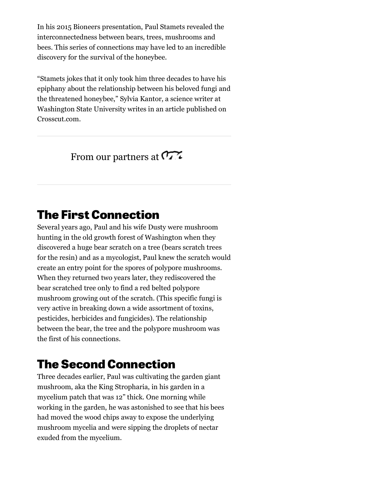In his 2015 Bioneers presentation, Paul Stamets revealed the interconnectedness between bears, trees, mushrooms and bees. This series of connections may have led to an incredible discovery for the survival of the honeybee.

"Stamets jokes that it only took him three decades to have his epiphany about the relationship between his beloved fungi and the threatened honeybee," Sylvia Kantor, a science writer at Washington State University writes in an article published on Crosscut.com.

#### From our partners at  $\sigma$

#### **The First Connection**

Several years ago, Paul and his wife Dusty were mushroom hunting in the old growth forest of Washington when they discovered a huge bear scratch on a tree (bears scratch trees for the resin) and as a mycologist, Paul knew the scratch would create an entry point for the spores of polypore mushrooms. When they returned two years later, they rediscovered the bear scratched tree only to find a red belted polypore mushroom growing out of the scratch. (This specific fungi is very active in breaking down a wide assortment of toxins, pesticides, herbicides and fungicides). The relationship between the bear, the tree and the polypore mushroom was the first of his connections.

### **The Second Connection**

Three decades earlier, Paul was cultivating the garden giant mushroom, aka the King Stropharia, in his garden in a mycelium patch that was 12" thick. One morning while working in the garden, he was astonished to see that his bees had moved the wood chips away to expose the underlying mushroom mycelia and were sipping the droplets of nectar exuded from the mycelium.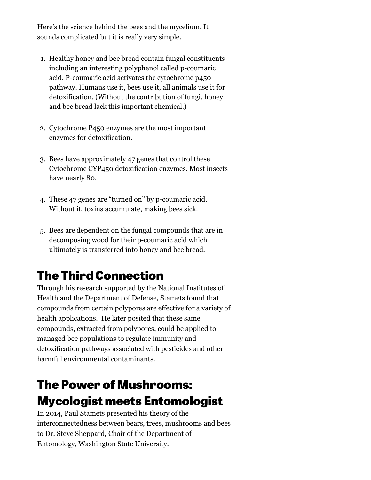Here's the science behind the bees and the mycelium. It sounds complicated but it is really very simple.

- 1. Healthy honey and bee bread contain fungal constituents including an interesting polyphenol called p-coumaric acid. P-coumaric acid activates the cytochrome p450 pathway. Humans use it, bees use it, all animals use it for detoxification. (Without the contribution of fungi, honey and bee bread lack this important chemical.)
- 2. Cytochrome P450 enzymes are the most important enzymes for detoxification.
- 3. Bees have approximately 47 genes that control these Cytochrome CYP450 detoxification enzymes. Most insects have nearly 80.
- 4. These 47 genes are "turned on" by p-coumaric acid. Without it, toxins accumulate, making bees sick.
- 5. Bees are dependent on the fungal compounds that are in decomposing wood for their p-coumaric acid which ultimately is transferred into honey and bee bread.

# **The Third Connection**

Through his research supported by the National Institutes of Health and the Department of Defense, Stamets found that compounds from certain polypores are effective for a variety of health applications. He later posited that these same compounds, extracted from polypores, could be applied to managed bee populations to regulate immunity and detoxification pathways associated with pesticides and other harmful environmental contaminants.

## **The Power of Mushrooms: Mycologist meets Entomologist**

In 2014, Paul Stamets presented his theory of the interconnectedness between bears, trees, mushrooms and bees to Dr. Steve Sheppard, Chair of the Department of Entomology, Washington State University.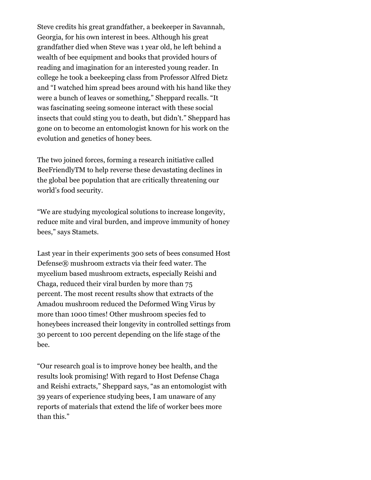Steve credits his great grandfather, a beekeeper in Savannah, Georgia, for his own interest in bees. Although his great grandfather died when Steve was 1 year old, he left behind a wealth of bee equipment and books that provided hours of reading and imagination for an interested young reader. In college he took a beekeeping class from Professor Alfred Dietz and "I watched him spread bees around with his hand like they were a bunch of leaves or something," Sheppard recalls. "It was fascinating seeing someone interact with these social insects that could sting you to death, but didn't." Sheppard has gone on to become an entomologist known for his work on the evolution and genetics of honey bees.

The two joined forces, forming a research initiative called BeeFriendlyTM to help reverse these devastating declines in the global bee population that are critically threatening our world's food security.

"We are studying mycological solutions to increase longevity, reduce mite and viral burden, and improve immunity of honey bees," says Stamets.

Last year in their experiments 300 sets of bees consumed Host Defense® mushroom extracts via their feed water. The mycelium based mushroom extracts, especially Reishi and Chaga, reduced their viral burden by more than 75 percent. The most recent results show that extracts of the Amadou mushroom reduced the Deformed Wing Virus by more than 1000 times! Other mushroom species fed to honeybees increased their longevity in controlled settings from 30 percent to 100 percent depending on the life stage of the bee.

"Our research goal is to improve honey bee health, and the results look promising! With regard to Host Defense Chaga and Reishi extracts," Sheppard says, "as an entomologist with 39 years of experience studying bees, I am unaware of any reports of materials that extend the life of worker bees more than this."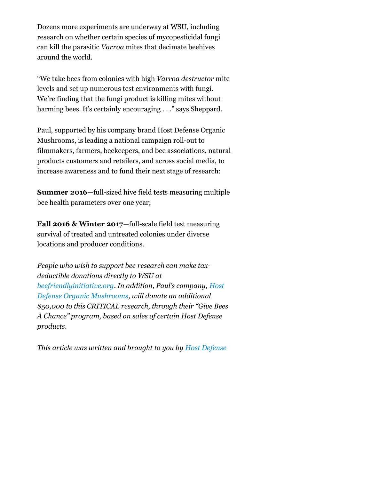Dozens more experiments are underway at WSU, including research on whether certain species of mycopesticidal fungi can kill the parasitic *Varroa* mites that decimate beehives around the world.

"We take bees from colonies with high *Varroa destructor* mite levels and set up numerous test environments with fungi. We're finding that the fungi product is killing mites without harming bees. It's certainly encouraging . . ." says Sheppard.

Paul, supported by his company brand Host Defense Organic Mushrooms, is leading a national campaign roll-out to filmmakers, farmers, beekeepers, and bee associations, natural products customers and retailers, and across social media, to increase awareness and to fund their next stage of research:

**Summer 2016**—full-sized hive field tests measuring multiple bee health parameters over one year;

**Fall 2016 & Winter 2017**—full-scale field test measuring survival of treated and untreated colonies under diverse locations and producer conditions.

*People who wish to support bee research can make taxdeductible donations directly to WSU at beefriendlyinitiative.org. In addition, Paul's company, Host Defense Organic Mushrooms, will donate an additional \$50,000 to this CRITICAL research, through their "Give Bees A Chance" program, based on sales of certain Host Defense products.*

*This article was written and brought to you by Host Defense*